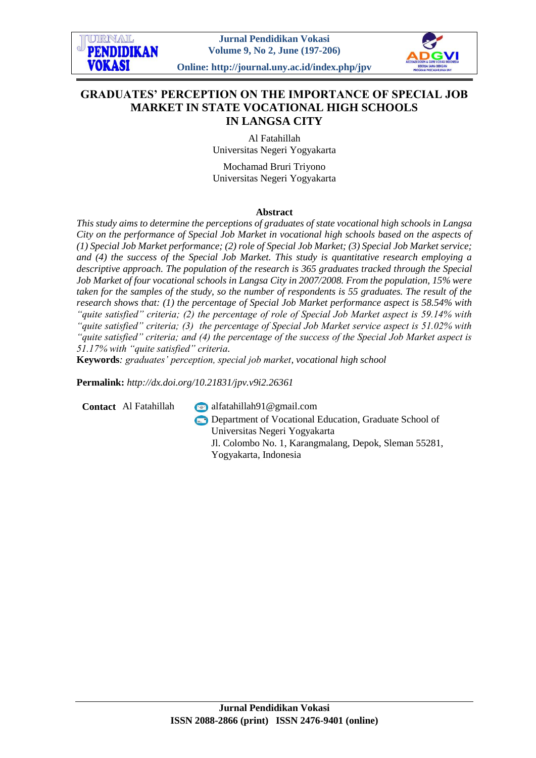

# **GRADUATES' PERCEPTION ON THE IMPORTANCE OF SPECIAL JOB MARKET IN STATE VOCATIONAL HIGH SCHOOLS IN LANGSA CITY**

Al Fatahillah Universitas Negeri Yogyakarta

Mochamad Bruri Triyono Universitas Negeri Yogyakarta

#### **Abstract**

*This study aims to determine the perceptions of graduates of state vocational high schools in Langsa City on the performance of Special Job Market in vocational high schools based on the aspects of (1) Special Job Market performance; (2) role of Special Job Market; (3) Special Job Market service; and (4) the success of the Special Job Market. This study is quantitative research employing a descriptive approach. The population of the research is 365 graduates tracked through the Special Job Market of four vocational schools in Langsa City in 2007/2008. From the population, 15% were taken for the samples of the study, so the number of respondents is 55 graduates. The result of the research shows that: (1) the percentage of Special Job Market performance aspect is 58.54% with "quite satisfied" criteria; (2) the percentage of role of Special Job Market aspect is 59.14% with "quite satisfied" criteria; (3) the percentage of Special Job Market service aspect is 51.02% with "quite satisfied" criteria; and (4) the percentage of the success of the Special Job Market aspect is 51.17% with "quite satisfied" criteria.*

**Keywords***: graduates' perception, special job market, vocational high school*

**Permalink:** *http://dx.doi.org[/10.21831/jpv.v9i2.26361](http://dx.doi.org/10.21831/jpv.v9i2.26361)*

**Contact** Al Fatahillah alfatahillah91@gmail.com

**Department of Vocational Education, Graduate School of** Universitas Negeri Yogyakarta Jl. Colombo No. 1, Karangmalang, Depok, Sleman 55281, Yogyakarta, Indonesia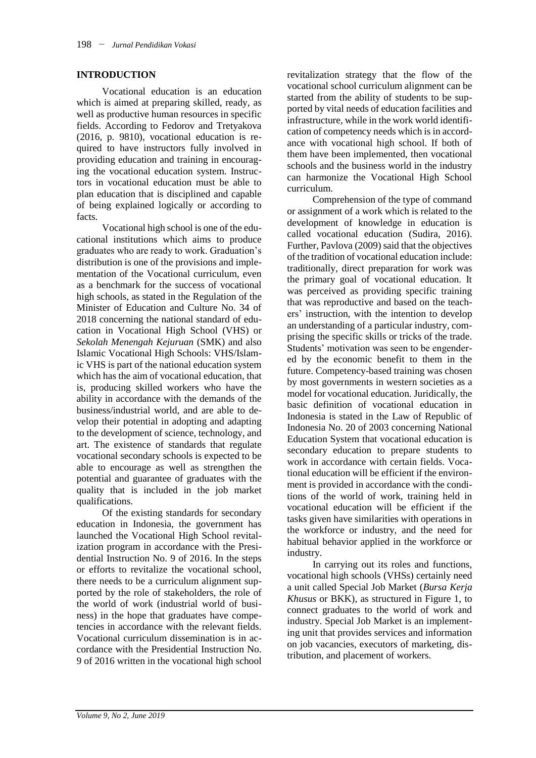### **INTRODUCTION**

Vocational education is an education which is aimed at preparing skilled, ready, as well as productive human resources in specific fields. According to Fedorov and Tretyakova (2016, p. 9810), vocational education is required to have instructors fully involved in providing education and training in encouraging the vocational education system. Instructors in vocational education must be able to plan education that is disciplined and capable of being explained logically or according to facts.

Vocational high school is one of the educational institutions which aims to produce graduates who are ready to work. Graduation's distribution is one of the provisions and implementation of the Vocational curriculum, even as a benchmark for the success of vocational high schools, as stated in the Regulation of the Minister of Education and Culture No. 34 of 2018 concerning the national standard of education in Vocational High School (VHS) or *Sekolah Menengah Kejuruan* (SMK) and also Islamic Vocational High Schools: VHS/Islamic VHS is part of the national education system which has the aim of vocational education, that is, producing skilled workers who have the ability in accordance with the demands of the business/industrial world, and are able to develop their potential in adopting and adapting to the development of science, technology, and art. The existence of standards that regulate vocational secondary schools is expected to be able to encourage as well as strengthen the potential and guarantee of graduates with the quality that is included in the job market qualifications.

Of the existing standards for secondary education in Indonesia, the government has launched the Vocational High School revitalization program in accordance with the Presidential Instruction No. 9 of 2016. In the steps or efforts to revitalize the vocational school, there needs to be a curriculum alignment supported by the role of stakeholders, the role of the world of work (industrial world of business) in the hope that graduates have competencies in accordance with the relevant fields. Vocational curriculum dissemination is in accordance with the Presidential Instruction No. 9 of 2016 written in the vocational high school

revitalization strategy that the flow of the vocational school curriculum alignment can be started from the ability of students to be supported by vital needs of education facilities and infrastructure, while in the work world identification of competency needs which is in accordance with vocational high school. If both of them have been implemented, then vocational schools and the business world in the industry can harmonize the Vocational High School curriculum.

Comprehension of the type of command or assignment of a work which is related to the development of knowledge in education is called vocational education (Sudira, 2016). Further, Pavlova (2009) said that the objectives of the tradition of vocational education include: traditionally, direct preparation for work was the primary goal of vocational education. It was perceived as providing specific training that was reproductive and based on the teachers' instruction, with the intention to develop an understanding of a particular industry, comprising the specific skills or tricks of the trade. Students' motivation was seen to be engendered by the economic benefit to them in the future. Competency-based training was chosen by most governments in western societies as a model for vocational education*.* Juridically, the basic definition of vocational education in Indonesia is stated in the Law of Republic of Indonesia No. 20 of 2003 concerning National Education System that vocational education is secondary education to prepare students to work in accordance with certain fields. Vocational education will be efficient if the environment is provided in accordance with the conditions of the world of work, training held in vocational education will be efficient if the tasks given have similarities with operations in the workforce or industry, and the need for habitual behavior applied in the workforce or industry.

In carrying out its roles and functions, vocational high schools (VHSs) certainly need a unit called Special Job Market (*Bursa Kerja Khusus* or BKK), as structured in Figure 1, to connect graduates to the world of work and industry. Special Job Market is an implementing unit that provides services and information on job vacancies, executors of marketing, distribution, and placement of workers.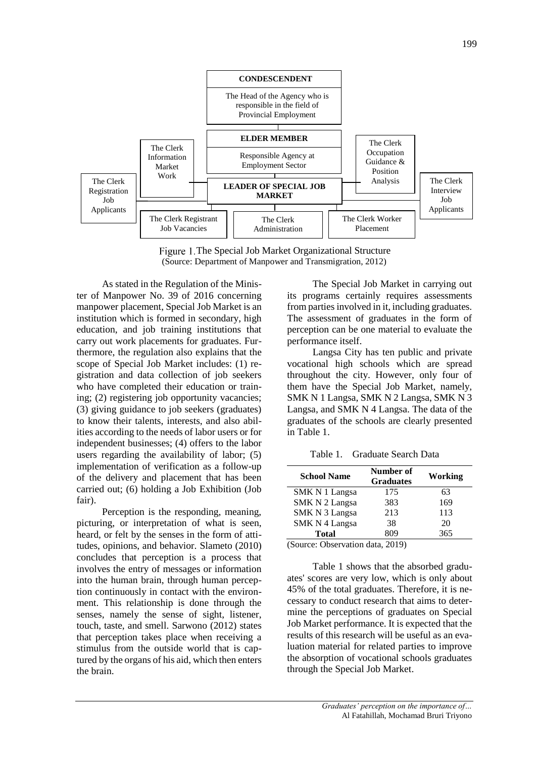

Figure 1. The Special Job Market Organizational Structure (Source: Department of Manpower and Transmigration, 2012)

As stated in the Regulation of the Minister of Manpower No. 39 of 2016 concerning manpower placement, Special Job Market is an institution which is formed in secondary, high education, and job training institutions that carry out work placements for graduates. Furthermore, the regulation also explains that the scope of Special Job Market includes: (1) registration and data collection of job seekers who have completed their education or training; (2) registering job opportunity vacancies; (3) giving guidance to job seekers (graduates) to know their talents, interests, and also abilities according to the needs of labor users or for independent businesses; (4) offers to the labor users regarding the availability of labor; (5) implementation of verification as a follow-up of the delivery and placement that has been carried out; (6) holding a Job Exhibition (Job fair).

Perception is the responding, meaning, picturing, or interpretation of what is seen, heard, or felt by the senses in the form of attitudes, opinions, and behavior. Slameto (2010) concludes that perception is a process that involves the entry of messages or information into the human brain, through human perception continuously in contact with the environment. This relationship is done through the senses, namely the sense of sight, listener, touch, taste, and smell. Sarwono (2012) states that perception takes place when receiving a stimulus from the outside world that is captured by the organs of his aid, which then enters the brain.

The Special Job Market in carrying out its programs certainly requires assessments from parties involved in it, including graduates. The assessment of graduates in the form of perception can be one material to evaluate the performance itself.

Langsa City has ten public and private vocational high schools which are spread throughout the city. However, only four of them have the Special Job Market, namely, SMK N 1 Langsa, SMK N 2 Langsa, SMK N 3 Langsa, and SMK N 4 Langsa. The data of the graduates of the schools are clearly presented in Table 1.

Table 1. Graduate Search Data

| <b>School Name</b> | Number of<br><b>Graduates</b> | Working |
|--------------------|-------------------------------|---------|
| SMK N 1 Langsa     | 175                           | 63      |
| SMK N 2 Langsa     | 383                           | 169     |
| SMK N 3 Langsa     | 213                           | 113     |
| SMK N 4 Langsa     | 38                            | 20      |
| Total              | 809                           | 365     |

(Source: Observation data, 2019)

Table 1 shows that the absorbed graduates' scores are very low, which is only about 45% of the total graduates. Therefore, it is necessary to conduct research that aims to determine the perceptions of graduates on Special Job Market performance. It is expected that the results of this research will be useful as an evaluation material for related parties to improve the absorption of vocational schools graduates through the Special Job Market.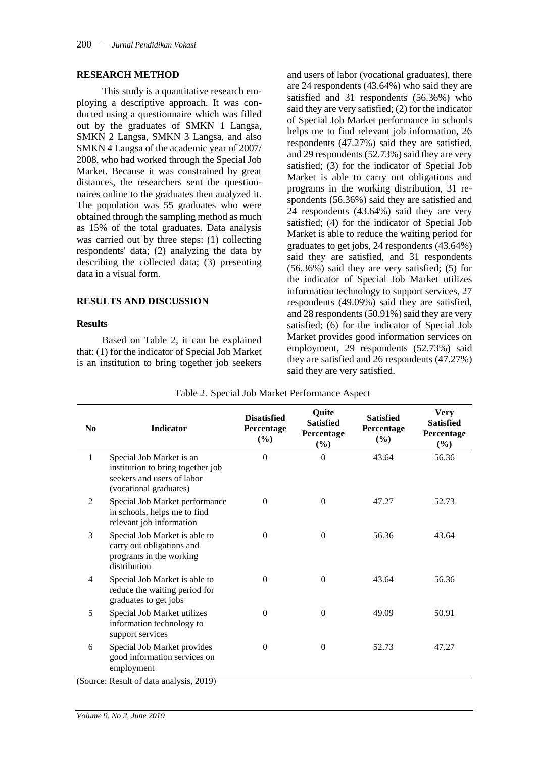#### **RESEARCH METHOD**

This study is a quantitative research employing a descriptive approach. It was conducted using a questionnaire which was filled out by the graduates of SMKN 1 Langsa, SMKN 2 Langsa, SMKN 3 Langsa, and also SMKN 4 Langsa of the academic year of 2007/ 2008, who had worked through the Special Job Market. Because it was constrained by great distances, the researchers sent the questionnaires online to the graduates then analyzed it. The population was 55 graduates who were obtained through the sampling method as much as 15% of the total graduates. Data analysis was carried out by three steps: (1) collecting respondents' data; (2) analyzing the data by describing the collected data; (3) presenting data in a visual form.

#### **RESULTS AND DISCUSSION**

#### **Results**

Based on Table 2, it can be explained that: (1) for the indicator of Special Job Market is an institution to bring together job seekers

and users of labor (vocational graduates), there are 24 respondents (43.64%) who said they are satisfied and 31 respondents (56.36%) who said they are very satisfied; (2) for the indicator of Special Job Market performance in schools helps me to find relevant job information, 26 respondents (47.27%) said they are satisfied, and 29 respondents (52.73%) said they are very satisfied; (3) for the indicator of Special Job Market is able to carry out obligations and programs in the working distribution, 31 respondents (56.36%) said they are satisfied and 24 respondents (43.64%) said they are very satisfied; (4) for the indicator of Special Job Market is able to reduce the waiting period for graduates to get jobs, 24 respondents (43.64%) said they are satisfied, and 31 respondents (56.36%) said they are very satisfied; (5) for the indicator of Special Job Market utilizes information technology to support services, 27 respondents (49.09%) said they are satisfied, and 28 respondents (50.91%) said they are very satisfied; (6) for the indicator of Special Job Market provides good information services on employment, 29 respondents (52.73%) said they are satisfied and 26 respondents (47.27%) said they are very satisfied.

| $\bf No$       | <b>Indicator</b>                                                                                                      | <b>Disatisfied</b><br>Percentage<br>(%) | Quite<br><b>Satisfied</b><br>Percentage<br>$(\%)$ | <b>Satisfied</b><br>Percentage<br>(%) | <b>Very</b><br><b>Satisfied</b><br>Percentage<br>$(\%)$ |
|----------------|-----------------------------------------------------------------------------------------------------------------------|-----------------------------------------|---------------------------------------------------|---------------------------------------|---------------------------------------------------------|
| 1              | Special Job Market is an<br>institution to bring together job<br>seekers and users of labor<br>(vocational graduates) | $\Omega$                                | $\mathbf{0}$                                      | 43.64                                 | 56.36                                                   |
| 2              | Special Job Market performance<br>in schools, helps me to find<br>relevant job information                            | $\theta$                                | $\Omega$                                          | 47.27                                 | 52.73                                                   |
| 3              | Special Job Market is able to<br>carry out obligations and<br>programs in the working<br>distribution                 | $\Omega$                                | $\Omega$                                          | 56.36                                 | 43.64                                                   |
| $\overline{4}$ | Special Job Market is able to<br>reduce the waiting period for<br>graduates to get jobs                               | $\Omega$                                | $\Omega$                                          | 43.64                                 | 56.36                                                   |
| 5              | Special Job Market utilizes<br>information technology to<br>support services                                          | $\Omega$                                | $\mathbf{0}$                                      | 49.09                                 | 50.91                                                   |
| 6              | Special Job Market provides<br>good information services on<br>employment                                             | $\Omega$                                | $\mathbf{0}$                                      | 52.73                                 | 47.27                                                   |

Table 2. Special Job Market Performance Aspect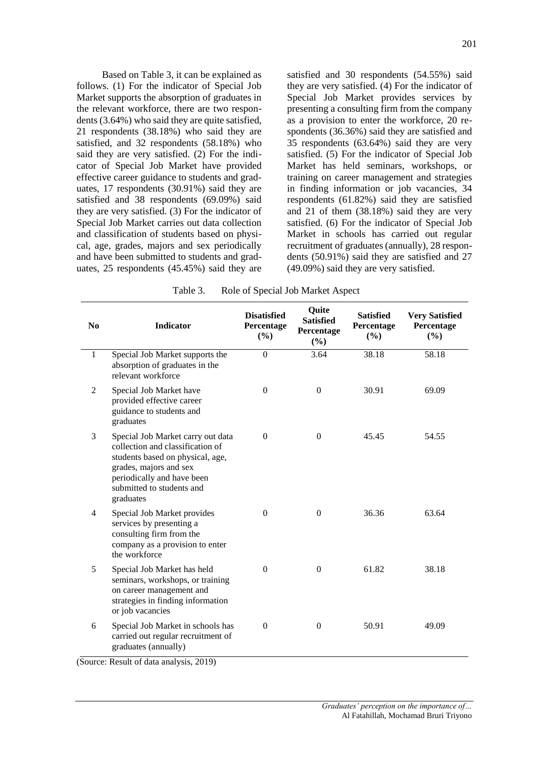Based on Table 3, it can be explained as follows. (1) For the indicator of Special Job Market supports the absorption of graduates in the relevant workforce, there are two respondents (3.64%) who said they are quite satisfied, 21 respondents (38.18%) who said they are satisfied, and 32 respondents (58.18%) who said they are very satisfied. (2) For the indicator of Special Job Market have provided effective career guidance to students and graduates, 17 respondents (30.91%) said they are satisfied and 38 respondents (69.09%) said they are very satisfied. (3) For the indicator of Special Job Market carries out data collection and classification of students based on physical, age, grades, majors and sex periodically and have been submitted to students and graduates, 25 respondents (45.45%) said they are

satisfied and 30 respondents (54.55%) said they are very satisfied. (4) For the indicator of Special Job Market provides services by presenting a consulting firm from the company as a provision to enter the workforce, 20 respondents (36.36%) said they are satisfied and 35 respondents (63.64%) said they are very satisfied. (5) For the indicator of Special Job Market has held seminars, workshops, or training on career management and strategies in finding information or job vacancies, 34 respondents (61.82%) said they are satisfied and 21 of them (38.18%) said they are very satisfied. (6) For the indicator of Special Job Market in schools has carried out regular recruitment of graduates (annually), 28 respondents (50.91%) said they are satisfied and 27 (49.09%) said they are very satisfied.

| Table 3. | Role of Special Job Market Aspect |  |
|----------|-----------------------------------|--|
|          |                                   |  |

| N <sub>0</sub> | <b>Indicator</b>                                                                                                                                                                                            | <b>Disatisfied</b><br>Percentage<br>(%) | <b>Quite</b><br><b>Satisfied</b><br>Percentage<br>(%) | <b>Satisfied</b><br>Percentage<br>(%) | <b>Very Satisfied</b><br>Percentage<br>$(\%)$ |
|----------------|-------------------------------------------------------------------------------------------------------------------------------------------------------------------------------------------------------------|-----------------------------------------|-------------------------------------------------------|---------------------------------------|-----------------------------------------------|
| $\mathbf{1}$   | Special Job Market supports the<br>absorption of graduates in the<br>relevant workforce                                                                                                                     | $\Omega$                                | 3.64                                                  | 38.18                                 | 58.18                                         |
| $\mathfrak{2}$ | Special Job Market have<br>provided effective career<br>guidance to students and<br>graduates                                                                                                               | $\boldsymbol{0}$                        | $\boldsymbol{0}$                                      | 30.91                                 | 69.09                                         |
| 3              | Special Job Market carry out data<br>collection and classification of<br>students based on physical, age,<br>grades, majors and sex<br>periodically and have been<br>submitted to students and<br>graduates | $\boldsymbol{0}$                        | $\Omega$                                              | 45.45                                 | 54.55                                         |
| 4              | Special Job Market provides<br>services by presenting a<br>consulting firm from the<br>company as a provision to enter<br>the workforce                                                                     | $\theta$                                | $\mathbf{0}$                                          | 36.36                                 | 63.64                                         |
| 5              | Special Job Market has held<br>seminars, workshops, or training<br>on career management and<br>strategies in finding information<br>or job vacancies                                                        | $\boldsymbol{0}$                        | $\mathbf{0}$                                          | 61.82                                 | 38.18                                         |
| 6              | Special Job Market in schools has<br>carried out regular recruitment of<br>graduates (annually)                                                                                                             | $\theta$                                | $\Omega$                                              | 50.91                                 | 49.09                                         |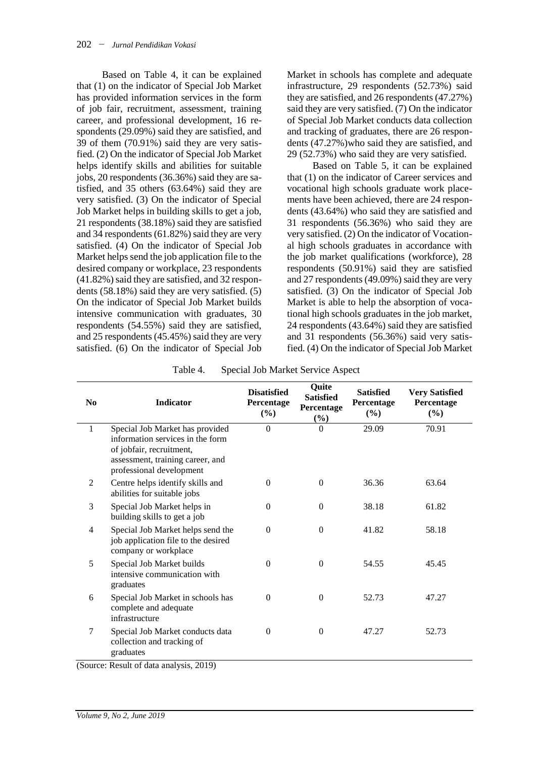Based on Table 4, it can be explained that (1) on the indicator of Special Job Market has provided information services in the form of job fair, recruitment, assessment, training career, and professional development, 16 respondents (29.09%) said they are satisfied, and 39 of them (70.91%) said they are very satisfied. (2) On the indicator of Special Job Market helps identify skills and abilities for suitable jobs, 20 respondents (36.36%) said they are satisfied, and 35 others (63.64%) said they are very satisfied. (3) On the indicator of Special Job Market helps in building skills to get a job, 21 respondents (38.18%) said they are satisfied and 34 respondents (61.82%) said they are very satisfied. (4) On the indicator of Special Job Market helps send the job application file to the desired company or workplace, 23 respondents (41.82%) said they are satisfied, and 32 respondents (58.18%) said they are very satisfied. (5) On the indicator of Special Job Market builds intensive communication with graduates, 30 respondents (54.55%) said they are satisfied, and 25 respondents (45.45%) said they are very satisfied. (6) On the indicator of Special Job Market in schools has complete and adequate infrastructure, 29 respondents (52.73%) said they are satisfied, and 26 respondents (47.27%) said they are very satisfied. (7) On the indicator of Special Job Market conducts data collection and tracking of graduates, there are 26 respondents (47.27%)who said they are satisfied, and 29 (52.73%) who said they are very satisfied.

Based on Table 5, it can be explained that (1) on the indicator of Career services and vocational high schools graduate work placements have been achieved, there are 24 respondents (43.64%) who said they are satisfied and 31 respondents (56.36%) who said they are very satisfied. (2) On the indicator of Vocational high schools graduates in accordance with the job market qualifications (workforce), 28 respondents (50.91%) said they are satisfied and 27 respondents (49.09%) said they are very satisfied. (3) On the indicator of Special Job Market is able to help the absorption of vocational high schools graduates in the job market, 24 respondents (43.64%) said they are satisfied and 31 respondents (56.36%) said very satisfied. (4) On the indicator of Special Job Market

Table 4. Special Job Market Service Aspect

| N <sub>0</sub> | <b>Indicator</b>                                                                                                                                                | <b>Disatisfied</b><br>Percentage<br>$(\%)$ | Quite<br><b>Satisfied</b><br>Percentage<br>$(\%)$ | <b>Satisfied</b><br>Percentage<br>$(\%)$ | <b>Very Satisfied</b><br>Percentage<br>$(\%)$ |
|----------------|-----------------------------------------------------------------------------------------------------------------------------------------------------------------|--------------------------------------------|---------------------------------------------------|------------------------------------------|-----------------------------------------------|
| $\mathbf{1}$   | Special Job Market has provided<br>information services in the form<br>of jobfair, recruitment,<br>assessment, training career, and<br>professional development | $\Omega$                                   | $\Omega$                                          | 29.09                                    | 70.91                                         |
| 2              | Centre helps identify skills and<br>abilities for suitable jobs                                                                                                 | $\Omega$                                   | $\Omega$                                          | 36.36                                    | 63.64                                         |
| 3              | Special Job Market helps in<br>building skills to get a job                                                                                                     | $\mathbf{0}$                               | $\mathbf{0}$                                      | 38.18                                    | 61.82                                         |
| 4              | Special Job Market helps send the<br>job application file to the desired<br>company or workplace                                                                | $\Omega$                                   | $\Omega$                                          | 41.82                                    | 58.18                                         |
| 5              | Special Job Market builds<br>intensive communication with<br>graduates                                                                                          | $\Omega$                                   | $\Omega$                                          | 54.55                                    | 45.45                                         |
| 6              | Special Job Market in schools has<br>complete and adequate<br>infrastructure                                                                                    | $\Omega$                                   | $\Omega$                                          | 52.73                                    | 47.27                                         |
| 7              | Special Job Market conducts data<br>collection and tracking of<br>graduates                                                                                     | $\theta$                                   | $\mathbf{0}$                                      | 47.27                                    | 52.73                                         |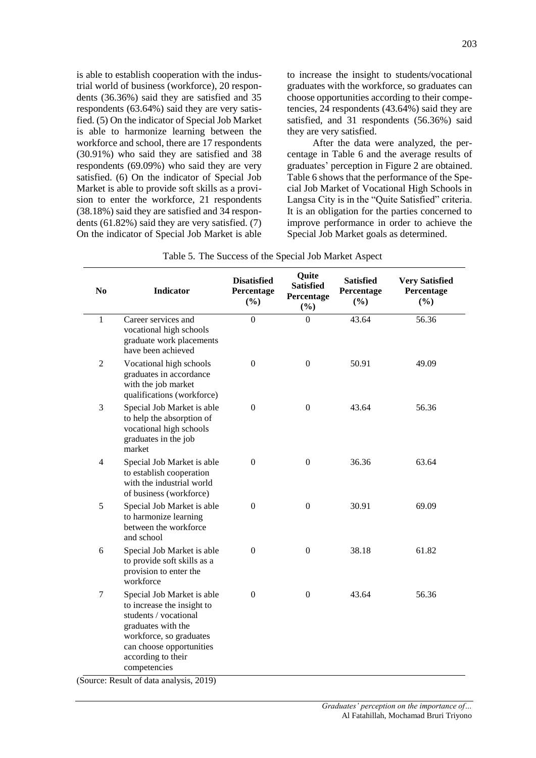is able to establish cooperation with the industrial world of business (workforce), 20 respondents (36.36%) said they are satisfied and 35 respondents (63.64%) said they are very satisfied. (5) On the indicator of Special Job Market is able to harmonize learning between the workforce and school, there are 17 respondents (30.91%) who said they are satisfied and 38 respondents (69.09%) who said they are very satisfied. (6) On the indicator of Special Job Market is able to provide soft skills as a provision to enter the workforce, 21 respondents (38.18%) said they are satisfied and 34 respondents (61.82%) said they are very satisfied. (7) On the indicator of Special Job Market is able to increase the insight to students/vocational graduates with the workforce, so graduates can choose opportunities according to their competencies, 24 respondents (43.64%) said they are satisfied, and 31 respondents (56.36%) said they are very satisfied.

After the data were analyzed, the percentage in Table 6 and the average results of graduates' perception in Figure 2 are obtained. Table 6 shows that the performance of the Special Job Market of Vocational High Schools in Langsa City is in the "Quite Satisfied" criteria. It is an obligation for the parties concerned to improve performance in order to achieve the Special Job Market goals as determined.

| N <sub>0</sub> | <b>Indicator</b>                                                                                                                                                                                                                                     | <b>Disatisfied</b><br>Percentage<br>(%) | Quite<br><b>Satisfied</b><br>Percentage<br>(%) | <b>Satisfied</b><br>Percentage<br>$(\%)$ | <b>Very Satisfied</b><br>Percentage<br>(%) |
|----------------|------------------------------------------------------------------------------------------------------------------------------------------------------------------------------------------------------------------------------------------------------|-----------------------------------------|------------------------------------------------|------------------------------------------|--------------------------------------------|
| $\mathbf{1}$   | Career services and<br>vocational high schools<br>graduate work placements<br>have been achieved                                                                                                                                                     | $\boldsymbol{0}$                        | $\Omega$                                       | 43.64                                    | 56.36                                      |
| 2              | Vocational high schools<br>graduates in accordance<br>with the job market<br>qualifications (workforce)                                                                                                                                              | $\boldsymbol{0}$                        | $\boldsymbol{0}$                               | 50.91                                    | 49.09                                      |
| 3              | Special Job Market is able<br>to help the absorption of<br>vocational high schools<br>graduates in the job<br>market                                                                                                                                 | $\boldsymbol{0}$                        | $\Omega$                                       | 43.64                                    | 56.36                                      |
| $\overline{4}$ | Special Job Market is able<br>to establish cooperation<br>with the industrial world<br>of business (workforce)                                                                                                                                       | $\mathbf{0}$                            | $\boldsymbol{0}$                               | 36.36                                    | 63.64                                      |
| 5              | Special Job Market is able<br>to harmonize learning<br>between the workforce<br>and school                                                                                                                                                           | $\mathbf{0}$                            | $\boldsymbol{0}$                               | 30.91                                    | 69.09                                      |
| 6              | Special Job Market is able<br>to provide soft skills as a<br>provision to enter the<br>workforce                                                                                                                                                     | $\mathbf{0}$                            | $\boldsymbol{0}$                               | 38.18                                    | 61.82                                      |
| 7              | Special Job Market is able<br>to increase the insight to<br>students / vocational<br>graduates with the<br>workforce, so graduates<br>can choose opportunities<br>according to their<br>competencies<br>$\mu$ req. $D$ acult of data analysis $2010$ | $\mathbf{0}$                            | $\boldsymbol{0}$                               | 43.64                                    | 56.36                                      |

Table 5. The Success of the Special Job Market Aspect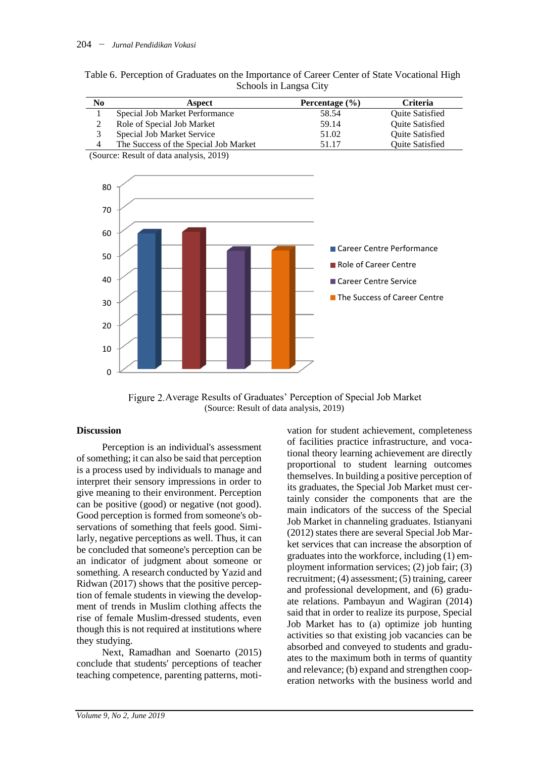| No | Aspect                                | Percentage $(\% )$ | <b>Criteria</b>        |
|----|---------------------------------------|--------------------|------------------------|
|    | Special Job Market Performance        | 58.54              | <b>Ouite Satisfied</b> |
|    | Role of Special Job Market            | 59.14              | <b>Ouite Satisfied</b> |
| J. | Special Job Market Service            | 51.02              | <b>Ouite Satisfied</b> |
| 4  | The Success of the Special Job Market | 51 17              | <b>Ouite Satisfied</b> |
|    |                                       |                    |                        |

| Table 6. Perception of Graduates on the Importance of Career Center of State Vocational High |                        |  |  |
|----------------------------------------------------------------------------------------------|------------------------|--|--|
|                                                                                              | Schools in Langsa City |  |  |

(Source: Result of data analysis, 2019)



Figure 2. Average Results of Graduates' Perception of Special Job Market (Source: Result of data analysis, 2019)

# **Discussion**

Perception is an individual's assessment of something; it can also be said that perception is a process used by individuals to manage and interpret their sensory impressions in order to give meaning to their environment. Perception can be positive (good) or negative (not good). Good perception is formed from someone's observations of something that feels good. Similarly, negative perceptions as well. Thus, it can be concluded that someone's perception can be an indicator of judgment about someone or something. A research conducted by Yazid and Ridwan (2017) shows that the positive perception of female students in viewing the development of trends in Muslim clothing affects the rise of female Muslim-dressed students, even though this is not required at institutions where they studying.

Next, Ramadhan and Soenarto (2015) conclude that students' perceptions of teacher teaching competence, parenting patterns, moti-

vation for student achievement, completeness of facilities practice infrastructure, and vocational theory learning achievement are directly proportional to student learning outcomes themselves. In building a positive perception of its graduates, the Special Job Market must certainly consider the components that are the main indicators of the success of the Special Job Market in channeling graduates. Istianyani (2012) states there are several Special Job Market services that can increase the absorption of graduates into the workforce, including (1) employment information services; (2) job fair; (3) recruitment; (4) assessment; (5) training, career and professional development, and (6) graduate relations. Pambayun and Wagiran (2014) said that in order to realize its purpose, Special Job Market has to (a) optimize job hunting activities so that existing job vacancies can be absorbed and conveyed to students and graduates to the maximum both in terms of quantity and relevance; (b) expand and strengthen cooperation networks with the business world and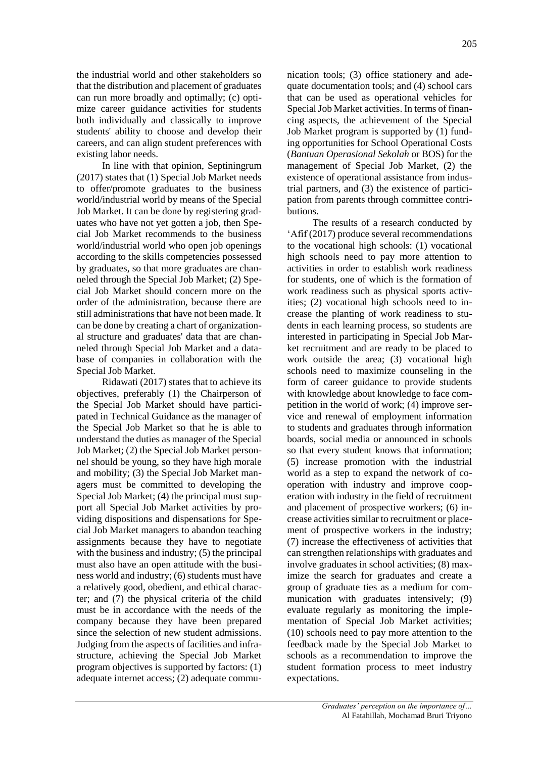the industrial world and other stakeholders so that the distribution and placement of graduates can run more broadly and optimally; (c) optimize career guidance activities for students both individually and classically to improve students' ability to choose and develop their careers, and can align student preferences with existing labor needs.

In line with that opinion, Septiningrum (2017) states that (1) Special Job Market needs to offer/promote graduates to the business world/industrial world by means of the Special Job Market. It can be done by registering graduates who have not yet gotten a job, then Special Job Market recommends to the business world/industrial world who open job openings according to the skills competencies possessed by graduates, so that more graduates are channeled through the Special Job Market; (2) Special Job Market should concern more on the order of the administration, because there are still administrations that have not been made. It can be done by creating a chart of organizational structure and graduates' data that are channeled through Special Job Market and a database of companies in collaboration with the Special Job Market.

Ridawati (2017) states that to achieve its objectives, preferably (1) the Chairperson of the Special Job Market should have participated in Technical Guidance as the manager of the Special Job Market so that he is able to understand the duties as manager of the Special Job Market; (2) the Special Job Market personnel should be young, so they have high morale and mobility; (3) the Special Job Market managers must be committed to developing the Special Job Market; (4) the principal must support all Special Job Market activities by providing dispositions and dispensations for Special Job Market managers to abandon teaching assignments because they have to negotiate with the business and industry; (5) the principal must also have an open attitude with the business world and industry; (6) students must have a relatively good, obedient, and ethical character; and (7) the physical criteria of the child must be in accordance with the needs of the company because they have been prepared since the selection of new student admissions. Judging from the aspects of facilities and infrastructure, achieving the Special Job Market program objectives is supported by factors: (1) adequate internet access; (2) adequate commu-

nication tools; (3) office stationery and adequate documentation tools; and (4) school cars that can be used as operational vehicles for Special Job Market activities. In terms of financing aspects, the achievement of the Special Job Market program is supported by (1) funding opportunities for School Operational Costs (*Bantuan Operasional Sekolah* or BOS) for the management of Special Job Market, (2) the existence of operational assistance from industrial partners, and (3) the existence of participation from parents through committee contributions.

The results of a research conducted by 'Afif (2017) produce several recommendations to the vocational high schools: (1) vocational high schools need to pay more attention to activities in order to establish work readiness for students, one of which is the formation of work readiness such as physical sports activities; (2) vocational high schools need to increase the planting of work readiness to students in each learning process, so students are interested in participating in Special Job Market recruitment and are ready to be placed to work outside the area; (3) vocational high schools need to maximize counseling in the form of career guidance to provide students with knowledge about knowledge to face competition in the world of work; (4) improve service and renewal of employment information to students and graduates through information boards, social media or announced in schools so that every student knows that information; (5) increase promotion with the industrial world as a step to expand the network of cooperation with industry and improve cooperation with industry in the field of recruitment and placement of prospective workers; (6) increase activities similar to recruitment or placement of prospective workers in the industry; (7) increase the effectiveness of activities that can strengthen relationships with graduates and involve graduates in school activities; (8) maximize the search for graduates and create a group of graduate ties as a medium for communication with graduates intensively; (9) evaluate regularly as monitoring the implementation of Special Job Market activities; (10) schools need to pay more attention to the feedback made by the Special Job Market to schools as a recommendation to improve the student formation process to meet industry expectations.